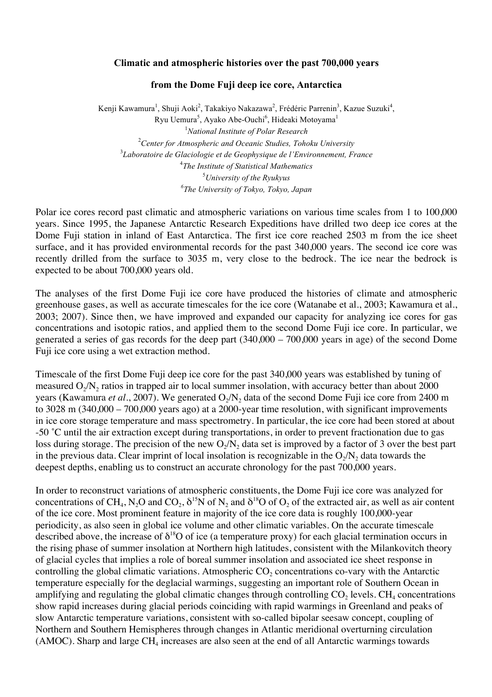## **Climatic and atmospheric histories over the past 700,000 years**

## **from the Dome Fuji deep ice core, Antarctica**

Kenji Kawamura<sup>1</sup>, Shuji Aoki<sup>2</sup>, Takakiyo Nakazawa<sup>2</sup>, Frédéric Parrenin<sup>3</sup>, Kazue Suzuki<sup>4</sup>, Ryu Uemura<sup>5</sup>, Ayako Abe-Ouchi<sup>6</sup>, Hideaki Motoyama<sup>1</sup> *National Institute of Polar Research Center for Atmospheric and Oceanic Studies, Tohoku University Laboratoire de Glaciologie et de Geophysique de l'Environnement, France The Institute of Statistical Mathematics University of the Ryukyus The University of Tokyo, Tokyo, Japan*

Polar ice cores record past climatic and atmospheric variations on various time scales from 1 to 100,000 years. Since 1995, the Japanese Antarctic Research Expeditions have drilled two deep ice cores at the Dome Fuji station in inland of East Antarctica. The first ice core reached 2503 m from the ice sheet surface, and it has provided environmental records for the past 340,000 years. The second ice core was recently drilled from the surface to 3035 m, very close to the bedrock. The ice near the bedrock is expected to be about 700,000 years old.

The analyses of the first Dome Fuji ice core have produced the histories of climate and atmospheric greenhouse gases, as well as accurate timescales for the ice core (Watanabe et al., 2003; Kawamura et al., 2003; 2007). Since then, we have improved and expanded our capacity for analyzing ice cores for gas concentrations and isotopic ratios, and applied them to the second Dome Fuji ice core. In particular, we generated a series of gas records for the deep part (340,000 – 700,000 years in age) of the second Dome Fuji ice core using a wet extraction method.

Timescale of the first Dome Fuji deep ice core for the past 340,000 years was established by tuning of measured  $O<sub>2</sub>/N<sub>2</sub>$  ratios in trapped air to local summer insolation, with accuracy better than about 2000 years (Kawamura *et al.*, 2007). We generated O<sub>2</sub>/N<sub>2</sub> data of the second Dome Fuji ice core from 2400 m to 3028 m (340,000 – 700,000 years ago) at a 2000-year time resolution, with significant improvements in ice core storage temperature and mass spectrometry. In particular, the ice core had been stored at about -50 ˚C until the air extraction except during transportations, in order to prevent fractionation due to gas loss during storage. The precision of the new  $O<sub>2</sub>/N<sub>2</sub>$  data set is improved by a factor of 3 over the best part in the previous data. Clear imprint of local insolation is recognizable in the  $O_2/N_2$  data towards the deepest depths, enabling us to construct an accurate chronology for the past 700,000 years.

In order to reconstruct variations of atmospheric constituents, the Dome Fuji ice core was analyzed for concentrations of CH<sub>4</sub>, N<sub>2</sub>O and CO<sub>2</sub>,  $\delta^{15}N$  of N<sub>2</sub> and  $\delta^{18}O$  of O<sub>2</sub> of the extracted air, as well as air content of the ice core. Most prominent feature in majority of the ice core data is roughly 100,000-year periodicity, as also seen in global ice volume and other climatic variables. On the accurate timescale described above, the increase of  $\delta^{18}O$  of ice (a temperature proxy) for each glacial termination occurs in the rising phase of summer insolation at Northern high latitudes, consistent with the Milankovitch theory of glacial cycles that implies a role of boreal summer insolation and associated ice sheet response in controlling the global climatic variations. Atmospheric  $CO<sub>2</sub>$  concentrations co-vary with the Antarctic temperature especially for the deglacial warmings, suggesting an important role of Southern Ocean in amplifying and regulating the global climatic changes through controlling  $CO<sub>2</sub>$  levels.  $CH<sub>4</sub>$  concentrations show rapid increases during glacial periods coinciding with rapid warmings in Greenland and peaks of slow Antarctic temperature variations, consistent with so-called bipolar seesaw concept, coupling of Northern and Southern Hemispheres through changes in Atlantic meridional overturning circulation (AMOC). Sharp and large  $CH_4$  increases are also seen at the end of all Antarctic warmings towards